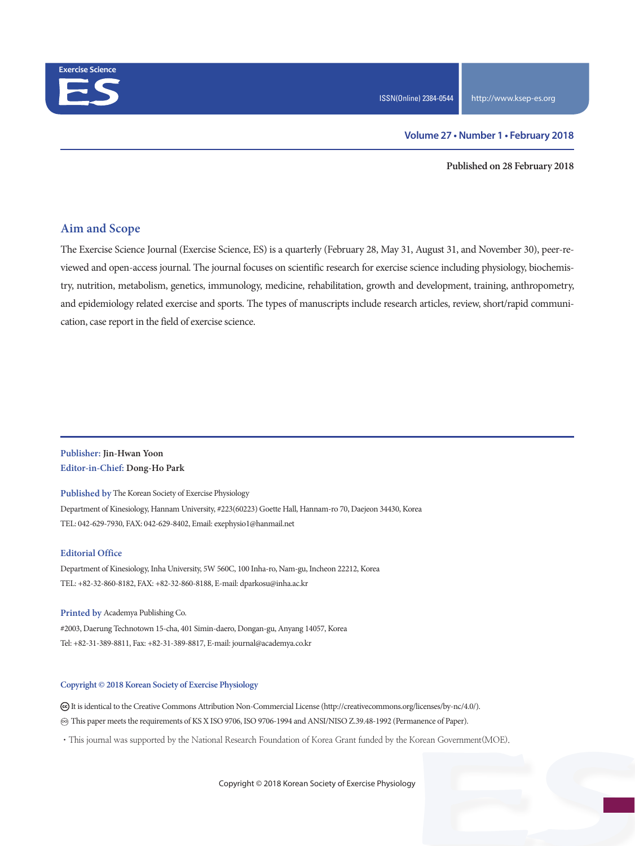

**Published on 28 February 2018**

## **Aim and Scope**

The Exercise Science Journal (Exercise Science, ES) is a quarterly (February 28, May 31, August 31, and November 30), peer-reviewed and open-access journal. The journal focuses on scientific research for exercise science including physiology, biochemistry, nutrition, metabolism, genetics, immunology, medicine, rehabilitation, growth and development, training, anthropometry, and epidemiology related exercise and sports. The types of manuscripts include research articles, review, short/rapid communication, case report in the field of exercise science.

#### **Publisher: Jin-Hwan Yoon Editor-in-Chief: Dong-Ho Park**

**Published by** The Korean Society of Exercise Physiology Department of Kinesiology, Hannam University, #223(60223) Goette Hall, Hannam-ro 70, Daejeon 34430, Korea TEL: 042-629-7930, FAX: 042-629-8402, Email: exephysio1@hanmail.net

#### **Editorial Office**

Department of Kinesiology, Inha University, 5W 560C, 100 Inha-ro, Nam-gu, Incheon 22212, Korea TEL: +82-32-860-8182, FAX: +82-32-860-8188, E-mail: dparkosu@inha.ac.kr

**Printed by** Academya Publishing Co. #2003, Daerung Technotown 15-cha, 401 Simin-daero, Dongan-gu, Anyang 14057, Korea Tel: +82-31-389-8811, Fax: +82-31-389-8817, E-mail: journal@academya.co.kr

#### **Copyright © 2018 Korean Society of Exercise Physiology**

 It is identical to the Creative Commons Attribution Non-Commercial License (http://creativecommons.org/licenses/by-nc/4.0/). ∞ This paper meets the requirements of KS X ISO 9706, ISO 9706-1994 and ANSI/NISO Z.39.48-1992 (Permanence of Paper).

·This journal was supported by the National Research Foundation of Korea Grant funded by the Korean Government(MOE).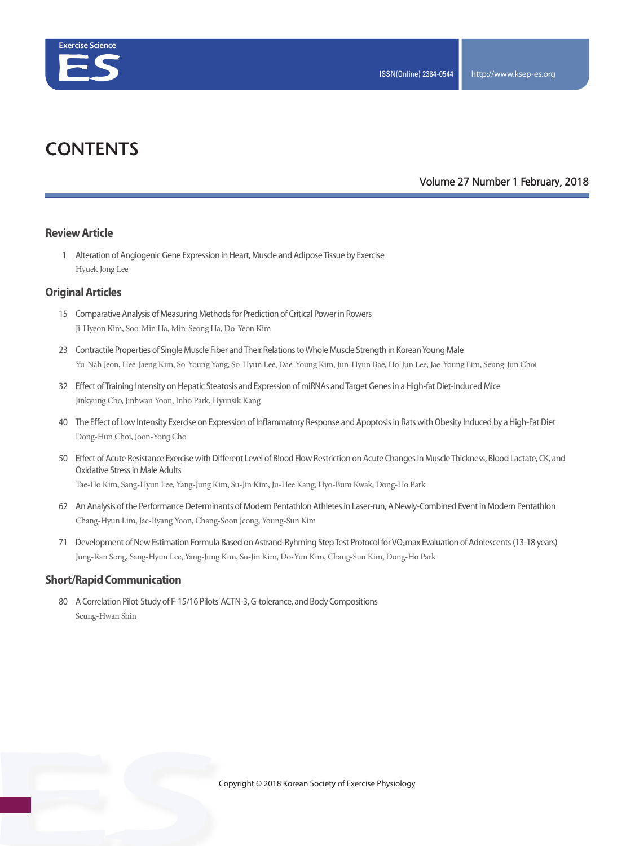

# **CONTENTS**

#### **Volume 27 Number 1 February, 2018**

#### **Review Article**

 1 Alteration of Angiogenic Gene Expression in Heart, Muscle and Adipose Tissue by Exercise Hyuek Jong Lee

### **Original Articles**

- 15 Comparative Analysis of Measuring Methods for Prediction of Critical Power in Rowers Ji-Hyeon Kim, Soo-Min Ha, Min-Seong Ha, Do-Yeon Kim
- 23 Contractile Properties of Single Muscle Fiber and Their Relations to Whole Muscle Strength in Korean Young Male Yu-Nah Jeon, Hee-Jaeng Kim, So-Young Yang, So-Hyun Lee, Dae-Young Kim, Jun-Hyun Bae, Ho-Jun Lee, Jae-Young Lim, Seung-Jun Choi
- 32 Effect of Training Intensity on Hepatic Steatosis and Expression of miRNAs and Target Genes in a High-fat Diet-induced Mice Jinkyung Cho, Jinhwan Yoon, Inho Park, Hyunsik Kang
- 40 The Effect of Low Intensity Exercise on Expression of Inflammatory Response and Apoptosis in Rats with Obesity Induced by a High-Fat Diet Dong-Hun Choi, Joon-Yong Cho
- 50 Effect of Acute Resistance Exercise with Different Level of Blood Flow Restriction on Acute Changes in Muscle Thickness, Blood Lactate, CK, and Oxidative Stress in Male Adults

Tae-Ho Kim, Sang-Hyun Lee, Yang-Jung Kim, Su-Jin Kim, Ju-Hee Kang, Hyo-Bum Kwak, Dong-Ho Park

- 62 An Analysis of the Performance Determinants of Modern Pentathlon Athletes in Laser-run, A Newly-Combined Event in Modern Pentathlon Chang-Hyun Lim, Jae-Ryang Yoon, Chang-Soon Jeong, Young-Sun Kim
- 71 Development of New Estimation Formula Based on Astrand-Ryhming Step Test Protocol for VO2max Evaluation of Adolescents (13-18 years) Jung-Ran Song, Sang-Hyun Lee, Yang-Jung Kim, Su-Jin Kim, Do-Yun Kim, Chang-Sun Kim, Dong-Ho Park

#### **Short/Rapid Communication**

 80 A Correlation Pilot-Study of F-15/16 Pilots' ACTN-3, G-tolerance, and Body Compositions Seung-Hwan Shin